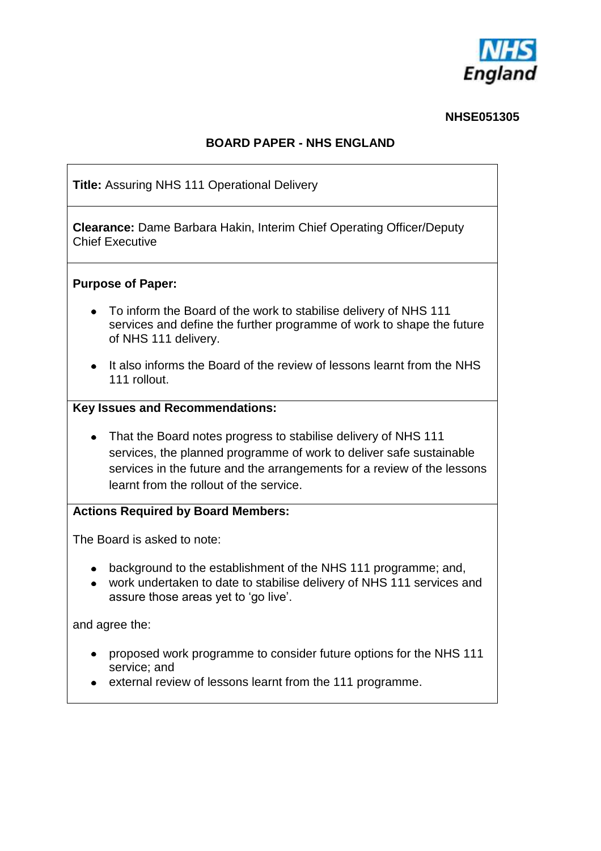

#### **NHSE051305**

## **BOARD PAPER - NHS ENGLAND**

**Title:** Assuring NHS 111 Operational Delivery **Clearance:** Dame Barbara Hakin, Interim Chief Operating Officer/Deputy Chief Executive **Purpose of Paper:** To inform the Board of the work to stabilise delivery of NHS 111 services and define the further programme of work to shape the future of NHS 111 delivery. • It also informs the Board of the review of lessons learnt from the NHS 111 rollout. **Key Issues and Recommendations:** • That the Board notes progress to stabilise delivery of NHS 111 services, the planned programme of work to deliver safe sustainable services in the future and the arrangements for a review of the lessons learnt from the rollout of the service. **Actions Required by Board Members:** The Board is asked to note: • background to the establishment of the NHS 111 programme; and, work undertaken to date to stabilise delivery of NHS 111 services and assure those areas yet to 'go live'. and agree the: proposed work programme to consider future options for the NHS 111 service; and external review of lessons learnt from the 111 programme.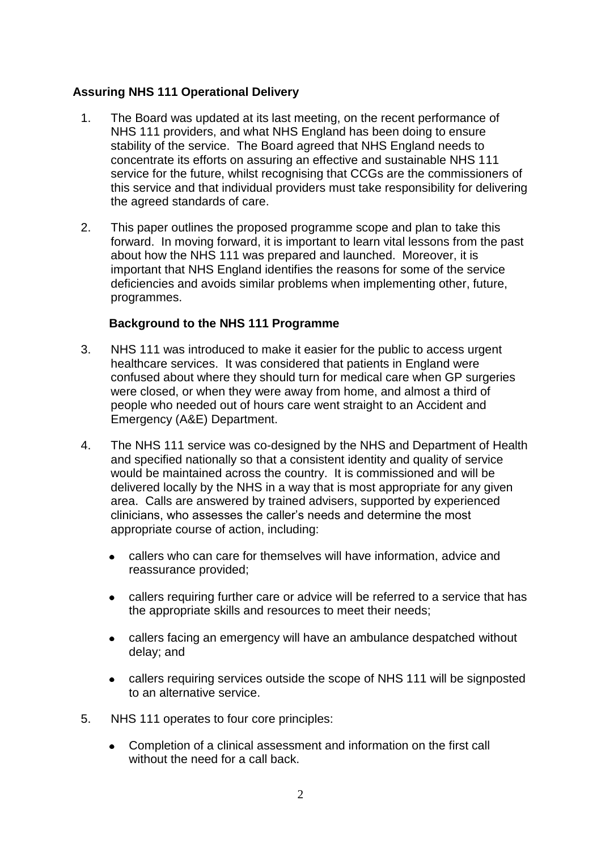## **Assuring NHS 111 Operational Delivery**

- 1. The Board was updated at its last meeting, on the recent performance of NHS 111 providers, and what NHS England has been doing to ensure stability of the service. The Board agreed that NHS England needs to concentrate its efforts on assuring an effective and sustainable NHS 111 service for the future, whilst recognising that CCGs are the commissioners of this service and that individual providers must take responsibility for delivering the agreed standards of care.
- 2. This paper outlines the proposed programme scope and plan to take this forward. In moving forward, it is important to learn vital lessons from the past about how the NHS 111 was prepared and launched. Moreover, it is important that NHS England identifies the reasons for some of the service deficiencies and avoids similar problems when implementing other, future, programmes.

## **Background to the NHS 111 Programme**

- 3. NHS 111 was introduced to make it easier for the public to access urgent healthcare services. It was considered that patients in England were confused about where they should turn for medical care when GP surgeries were closed, or when they were away from home, and almost a third of people who needed out of hours care went straight to an Accident and Emergency (A&E) Department.
- 4. The NHS 111 service was co-designed by the NHS and Department of Health and specified nationally so that a consistent identity and quality of service would be maintained across the country. It is commissioned and will be delivered locally by the NHS in a way that is most appropriate for any given area. Calls are answered by trained advisers, supported by experienced clinicians, who assesses the caller's needs and determine the most appropriate course of action, including:
	- callers who can care for themselves will have information, advice and  $\bullet$ reassurance provided;
	- callers requiring further care or advice will be referred to a service that has the appropriate skills and resources to meet their needs;
	- callers facing an emergency will have an ambulance despatched without delay; and
	- callers requiring services outside the scope of NHS 111 will be signposted to an alternative service.
- 5. NHS 111 operates to four core principles:
	- Completion of a clinical assessment and information on the first call without the need for a call back.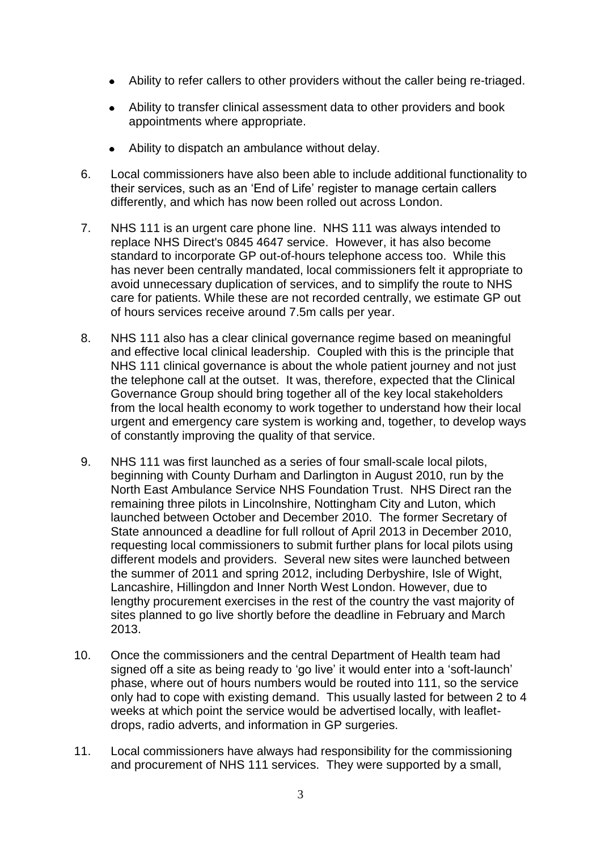- Ability to refer callers to other providers without the caller being re-triaged.
- $\bullet$ Ability to transfer clinical assessment data to other providers and book appointments where appropriate.
- Ability to dispatch an ambulance without delay.
- 6. Local commissioners have also been able to include additional functionality to their services, such as an 'End of Life' register to manage certain callers differently, and which has now been rolled out across London.
- 7. NHS 111 is an urgent care phone line. NHS 111 was always intended to replace NHS Direct's 0845 4647 service. However, it has also become standard to incorporate GP out-of-hours telephone access too. While this has never been centrally mandated, local commissioners felt it appropriate to avoid unnecessary duplication of services, and to simplify the route to NHS care for patients. While these are not recorded centrally, we estimate GP out of hours services receive around 7.5m calls per year.
- 8. NHS 111 also has a clear clinical governance regime based on meaningful and effective local clinical leadership. Coupled with this is the principle that NHS 111 clinical governance is about the whole patient journey and not just the telephone call at the outset. It was, therefore, expected that the Clinical Governance Group should bring together all of the key local stakeholders from the local health economy to work together to understand how their local urgent and emergency care system is working and, together, to develop ways of constantly improving the quality of that service.
- 9. NHS 111 was first launched as a series of four small-scale local pilots, beginning with County Durham and Darlington in August 2010, run by the North East Ambulance Service NHS Foundation Trust. NHS Direct ran the remaining three pilots in Lincolnshire, Nottingham City and Luton, which launched between October and December 2010. The former Secretary of State announced a deadline for full rollout of April 2013 in December 2010, requesting local commissioners to submit further plans for local pilots using different models and providers. Several new sites were launched between the summer of 2011 and spring 2012, including Derbyshire, Isle of Wight, Lancashire, Hillingdon and Inner North West London. However, due to lengthy procurement exercises in the rest of the country the vast majority of sites planned to go live shortly before the deadline in February and March 2013.
- 10. Once the commissioners and the central Department of Health team had signed off a site as being ready to 'go live' it would enter into a 'soft-launch' phase, where out of hours numbers would be routed into 111, so the service only had to cope with existing demand. This usually lasted for between 2 to 4 weeks at which point the service would be advertised locally, with leafletdrops, radio adverts, and information in GP surgeries.
- 11. Local commissioners have always had responsibility for the commissioning and procurement of NHS 111 services. They were supported by a small,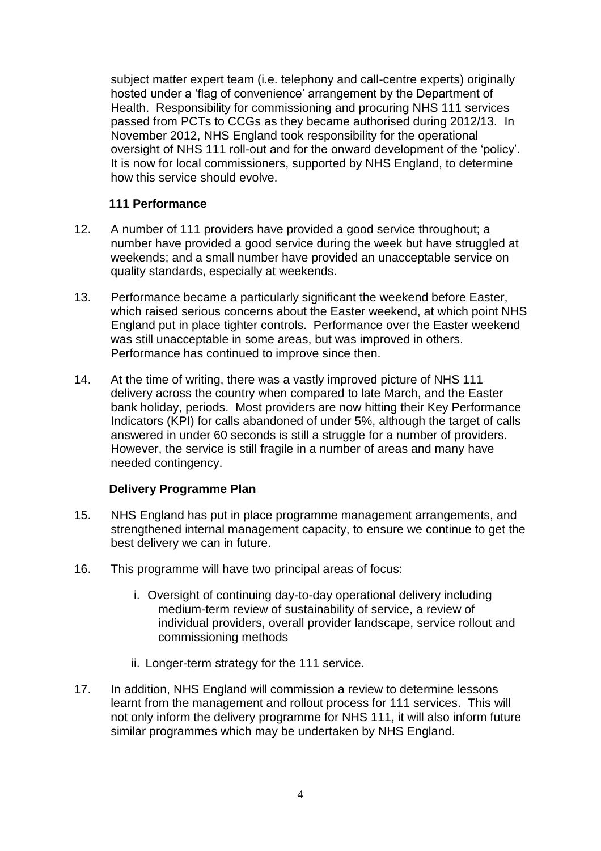subject matter expert team (i.e. telephony and call-centre experts) originally hosted under a 'flag of convenience' arrangement by the Department of Health. Responsibility for commissioning and procuring NHS 111 services passed from PCTs to CCGs as they became authorised during 2012/13. In November 2012, NHS England took responsibility for the operational oversight of NHS 111 roll-out and for the onward development of the 'policy'. It is now for local commissioners, supported by NHS England, to determine how this service should evolve.

## **111 Performance**

- 12. A number of 111 providers have provided a good service throughout; a number have provided a good service during the week but have struggled at weekends; and a small number have provided an unacceptable service on quality standards, especially at weekends.
- 13. Performance became a particularly significant the weekend before Easter, which raised serious concerns about the Easter weekend, at which point NHS England put in place tighter controls. Performance over the Easter weekend was still unacceptable in some areas, but was improved in others. Performance has continued to improve since then.
- 14. At the time of writing, there was a vastly improved picture of NHS 111 delivery across the country when compared to late March, and the Easter bank holiday, periods. Most providers are now hitting their Key Performance Indicators (KPI) for calls abandoned of under 5%, although the target of calls answered in under 60 seconds is still a struggle for a number of providers. However, the service is still fragile in a number of areas and many have needed contingency.

# **Delivery Programme Plan**

- 15. NHS England has put in place programme management arrangements, and strengthened internal management capacity, to ensure we continue to get the best delivery we can in future.
- 16. This programme will have two principal areas of focus:
	- i. Oversight of continuing day-to-day operational delivery including medium-term review of sustainability of service, a review of individual providers, overall provider landscape, service rollout and commissioning methods
	- ii. Longer-term strategy for the 111 service.
- 17. In addition, NHS England will commission a review to determine lessons learnt from the management and rollout process for 111 services. This will not only inform the delivery programme for NHS 111, it will also inform future similar programmes which may be undertaken by NHS England.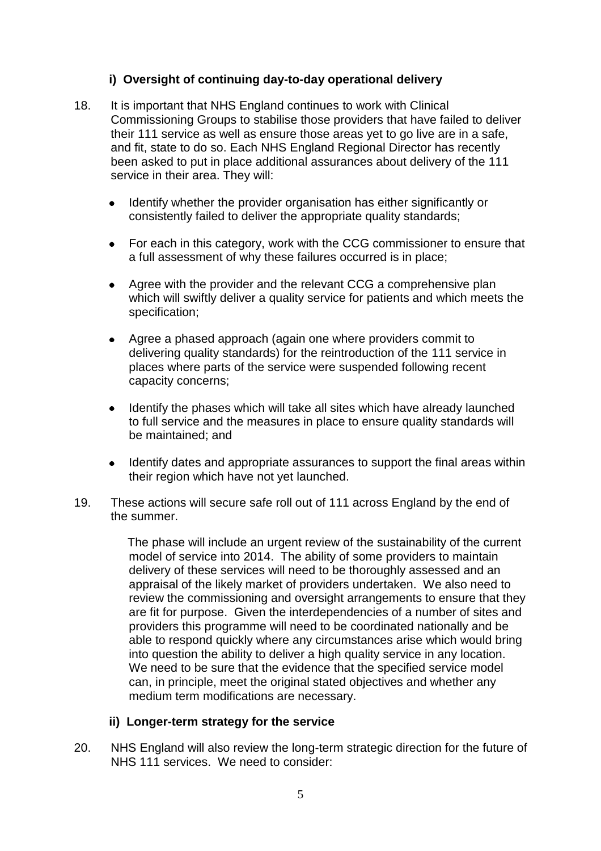## **i) Oversight of continuing day-to-day operational delivery**

- 18. It is important that NHS England continues to work with Clinical Commissioning Groups to stabilise those providers that have failed to deliver their 111 service as well as ensure those areas yet to go live are in a safe, and fit, state to do so. Each NHS England Regional Director has recently been asked to put in place additional assurances about delivery of the 111 service in their area. They will:
	- Identify whether the provider organisation has either significantly or consistently failed to deliver the appropriate quality standards;
	- For each in this category, work with the CCG commissioner to ensure that a full assessment of why these failures occurred is in place;
	- Agree with the provider and the relevant CCG a comprehensive plan which will swiftly deliver a quality service for patients and which meets the specification;
	- Agree a phased approach (again one where providers commit to delivering quality standards) for the reintroduction of the 111 service in places where parts of the service were suspended following recent capacity concerns;
	- Identify the phases which will take all sites which have already launched to full service and the measures in place to ensure quality standards will be maintained; and
	- Identify dates and appropriate assurances to support the final areas within their region which have not yet launched.
- 19. These actions will secure safe roll out of 111 across England by the end of the summer.

 The phase will include an urgent review of the sustainability of the current model of service into 2014. The ability of some providers to maintain delivery of these services will need to be thoroughly assessed and an appraisal of the likely market of providers undertaken. We also need to review the commissioning and oversight arrangements to ensure that they are fit for purpose. Given the interdependencies of a number of sites and providers this programme will need to be coordinated nationally and be able to respond quickly where any circumstances arise which would bring into question the ability to deliver a high quality service in any location. We need to be sure that the evidence that the specified service model can, in principle, meet the original stated objectives and whether any medium term modifications are necessary.

#### **ii) Longer-term strategy for the service**

20. NHS England will also review the long-term strategic direction for the future of NHS 111 services. We need to consider: